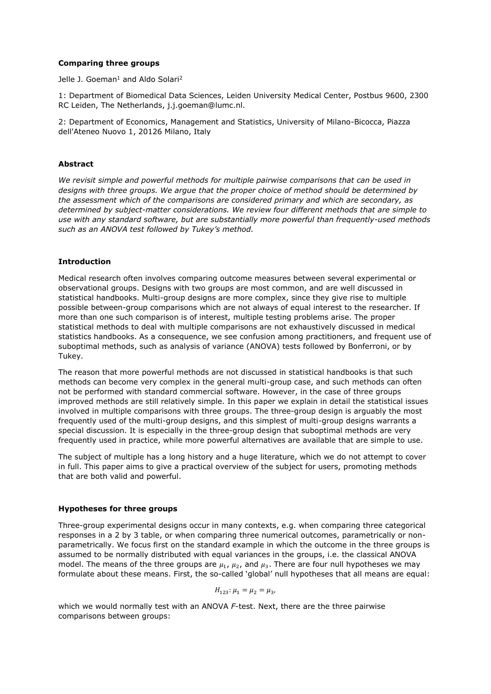# **Comparing three groups**

Jelle J. Goeman<sup>1</sup> and Aldo Solari<sup>2</sup>

1: Department of Biomedical Data Sciences, Leiden University Medical Center, Postbus 9600, 2300 RC Leiden, The Netherlands, j.j.goeman@lumc.nl.

2: Department of Economics, Management and Statistics, University of Milano-Bicocca, Piazza dell'Ateneo Nuovo 1, 20126 Milano, Italy

# **Abstract**

*We revisit simple and powerful methods for multiple pairwise comparisons that can be used in designs with three groups. We argue that the proper choice of method should be determined by the assessment which of the comparisons are considered primary and which are secondary, as determined by subject-matter considerations. We review four different methods that are simple to use with any standard software, but are substantially more powerful than frequently-used methods such as an ANOVA test followed by Tukey's method.*

# **Introduction**

Medical research often involves comparing outcome measures between several experimental or observational groups. Designs with two groups are most common, and are well discussed in statistical handbooks. Multi-group designs are more complex, since they give rise to multiple possible between-group comparisons which are not always of equal interest to the researcher. If more than one such comparison is of interest, multiple testing problems arise. The proper statistical methods to deal with multiple comparisons are not exhaustively discussed in medical statistics handbooks. As a consequence, we see confusion among practitioners, and frequent use of suboptimal methods, such as analysis of variance (ANOVA) tests followed by Bonferroni, or by Tukey.

The reason that more powerful methods are not discussed in statistical handbooks is that such methods can become very complex in the general multi-group case, and such methods can often not be performed with standard commercial software. However, in the case of three groups improved methods are still relatively simple. In this paper we explain in detail the statistical issues involved in multiple comparisons with three groups. The three-group design is arguably the most frequently used of the multi-group designs, and this simplest of multi-group designs warrants a special discussion. It is especially in the three-group design that suboptimal methods are very frequently used in practice, while more powerful alternatives are available that are simple to use.

The subject of multiple has a long history and a huge literature, which we do not attempt to cover in full. This paper aims to give a practical overview of the subject for users, promoting methods that are both valid and powerful.

### **Hypotheses for three groups**

Three-group experimental designs occur in many contexts, e.g. when comparing three categorical responses in a 2 by 3 table, or when comparing three numerical outcomes, parametrically or nonparametrically. We focus first on the standard example in which the outcome in the three groups is assumed to be normally distributed with equal variances in the groups, i.e. the classical ANOVA model. The means of the three groups are  $u_1$ ,  $u_2$ , and  $u_3$ . There are four null hypotheses we may formulate about these means. First, the so-called 'global' null hypotheses that all means are equal:

$$
H_{123} : \mu_1 = \mu_2 = \mu_3,
$$

which we would normally test with an ANOVA *F*-test. Next, there are the three pairwise comparisons between groups: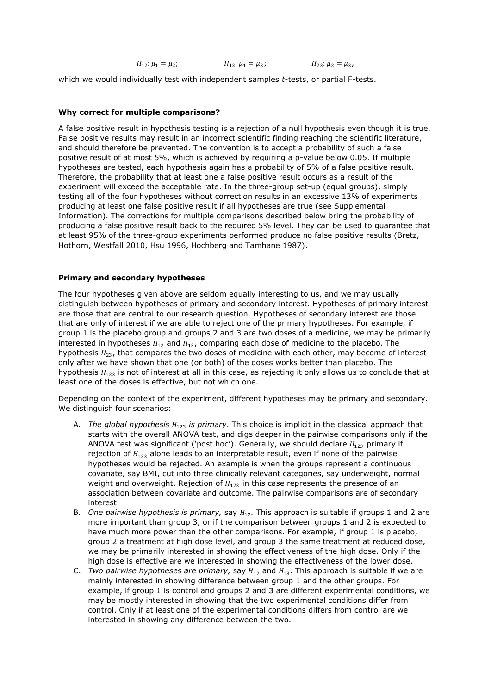$$
H_{12}: \mu_1 = \mu_2; \qquad H_{13}: \mu_1 = \mu_3; \qquad H_{23}: \mu_2 = \mu_3,
$$

which we would individually test with independent samples *t*-tests, or partial F-tests.

# **Why correct for multiple comparisons?**

A false positive result in hypothesis testing is a rejection of a null hypothesis even though it is true. False positive results may result in an incorrect scientific finding reaching the scientific literature, and should therefore be prevented. The convention is to accept a probability of such a false positive result of at most 5%, which is achieved by requiring a p-value below 0.05. If multiple hypotheses are tested, each hypothesis again has a probability of 5% of a false positive result. Therefore, the probability that at least one a false positive result occurs as a result of the experiment will exceed the acceptable rate. In the three-group set-up (equal groups), simply testing all of the four hypotheses without correction results in an excessive 13% of experiments producing at least one false positive result if all hypotheses are true (see Supplemental Information). The corrections for multiple comparisons described below bring the probability of producing a false positive result back to the required 5% level. They can be used to guarantee that at least 95% of the three-group experiments performed produce no false positive results (Bretz, Hothorn, Westfall 2010, Hsu 1996, Hochberg and Tamhane 1987).

# **Primary and secondary hypotheses**

The four hypotheses given above are seldom equally interesting to us, and we may usually distinguish between hypotheses of primary and secondary interest. Hypotheses of primary interest are those that are central to our research question. Hypotheses of secondary interest are those that are only of interest if we are able to reject one of the primary hypotheses. For example, if group 1 is the placebo group and groups 2 and 3 are two doses of a medicine, we may be primarily interested in hypotheses  $H_{12}$  and  $H_{13}$ , comparing each dose of medicine to the placebo. The hypothesis  $H_{23}$ , that compares the two doses of medicine with each other, may become of interest only after we have shown that one (or both) of the doses works better than placebo. The hypothesis  $H_{123}$  is not of interest at all in this case, as rejecting it only allows us to conclude that at least one of the doses is effective, but not which one.

Depending on the context of the experiment, different hypotheses may be primary and secondary. We distinguish four scenarios:

- A. *The global hypothesis H<sub>123</sub> is primary*. This choice is implicit in the classical approach that starts with the overall ANOVA test, and digs deeper in the pairwise comparisons only if the ANOVA test was significant ('post hoc'). Generally, we should declare  $H_{123}$  primary if rejection of  $H_{123}$  alone leads to an interpretable result, even if none of the pairwise hypotheses would be rejected. An example is when the groups represent a continuous covariate, say BMI, cut into three clinically relevant categories, say underweight, normal weight and overweight. Rejection of  $H_{123}$  in this case represents the presence of an association between covariate and outcome. The pairwise comparisons are of secondary interest.
- B. *One pairwise hypothesis is primary,* say  $H_{12}$ . This approach is suitable if groups 1 and 2 are more important than group 3, or if the comparison between groups 1 and 2 is expected to have much more power than the other comparisons. For example, if group 1 is placebo, group 2 a treatment at high dose level, and group 3 the same treatment at reduced dose, we may be primarily interested in showing the effectiveness of the high dose. Only if the high dose is effective are we interested in showing the effectiveness of the lower dose.
- C. *Two pairwise hypotheses are primary,* say  $H_{12}$  and  $H_{13}$ . This approach is suitable if we are mainly interested in showing difference between group 1 and the other groups. For example, if group 1 is control and groups 2 and 3 are different experimental conditions, we may be mostly interested in showing that the two experimental conditions differ from control. Only if at least one of the experimental conditions differs from control are we interested in showing any difference between the two.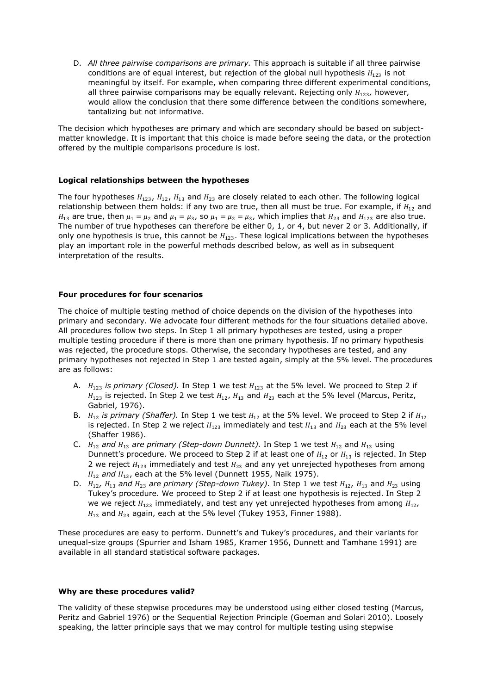D. *All three pairwise comparisons are primary.* This approach is suitable if all three pairwise conditions are of equal interest, but rejection of the global null hypothesis  $H_{123}$  is not meaningful by itself. For example, when comparing three different experimental conditions, all three pairwise comparisons may be equally relevant. Rejecting only  $H_{123}$ , however, would allow the conclusion that there some difference between the conditions somewhere, tantalizing but not informative.

The decision which hypotheses are primary and which are secondary should be based on subjectmatter knowledge. It is important that this choice is made before seeing the data, or the protection offered by the multiple comparisons procedure is lost.

### **Logical relationships between the hypotheses**

The four hypotheses  $H_{123}$ ,  $H_{12}$ ,  $H_{13}$  and  $H_{23}$  are closely related to each other. The following logical relationship between them holds: if any two are true, then all must be true. For example, if  $H_{12}$  and  $H_{13}$  are true, then  $\mu_1 = \mu_2$  and  $\mu_1 = \mu_3$ , so  $\mu_1 = \mu_2 = \mu_3$ , which implies that  $H_{23}$  and  $H_{123}$  are also true. The number of true hypotheses can therefore be either 0, 1, or 4, but never 2 or 3. Additionally, if only one hypothesis is true, this cannot be  $H_{123}$ . These logical implications between the hypotheses play an important role in the powerful methods described below, as well as in subsequent interpretation of the results.

### **Four procedures for four scenarios**

The choice of multiple testing method of choice depends on the division of the hypotheses into primary and secondary. We advocate four different methods for the four situations detailed above. All procedures follow two steps. In Step 1 all primary hypotheses are tested, using a proper multiple testing procedure if there is more than one primary hypothesis. If no primary hypothesis was rejected, the procedure stops. Otherwise, the secondary hypotheses are tested, and any primary hypotheses not rejected in Step 1 are tested again, simply at the 5% level. The procedures are as follows:

- A.  $H_{123}$  *is primary (Closed).* In Step 1 we test  $H_{123}$  at the 5% level. We proceed to Step 2 if  $H_{123}$  is rejected. In Step 2 we test  $H_{12}$ ,  $H_{13}$  and  $H_{23}$  each at the 5% level (Marcus, Peritz, Gabriel, 1976).
- B.  $H_{12}$  *is primary (Shaffer).* In Step 1 we test  $H_{12}$  at the 5% level. We proceed to Step 2 if  $H_{12}$ is rejected. In Step 2 we reject  $H_{123}$  immediately and test  $H_{13}$  and  $H_{23}$  each at the 5% level (Shaffer 1986).
- C.  $H_{12}$  *and*  $H_{13}$  *are primary (Step-down Dunnett)*. In Step 1 we test  $H_{12}$  and  $H_{13}$  using Dunnett's procedure. We proceed to Step 2 if at least one of  $H_{12}$  or  $H_{13}$  is rejected. In Step 2 we reject  $H_{123}$  immediately and test  $H_{23}$  and any yet unrejected hypotheses from among  $H_{12}$  *and*  $H_{13}$  each at the 5% level (Dunnett 1955, Naik 1975).
- D.  $H_{12}$ ,  $H_{13}$  and  $H_{23}$  are primary (Step-down Tukey). In Step 1 we test  $H_{12}$ ,  $H_{13}$  and  $H_{23}$  using Tukey's procedure. We proceed to Step 2 if at least one hypothesis is rejected. In Step 2 we we reject  $H_{123}$  immediately, and test any yet unrejected hypotheses from among  $H_{12}$ ,  $H_{13}$  and  $H_{23}$  again, each at the 5% level (Tukey 1953, Finner 1988).

These procedures are easy to perform. Dunnett's and Tukey's procedures, and their variants for unequal-size groups (Spurrier and Isham 1985, Kramer 1956, Dunnett and Tamhane 1991) are available in all standard statistical software packages.

#### **Why are these procedures valid?**

The validity of these stepwise procedures may be understood using either closed testing (Marcus, Peritz and Gabriel 1976) or the Sequential Rejection Principle (Goeman and Solari 2010). Loosely speaking, the latter principle says that we may control for multiple testing using stepwise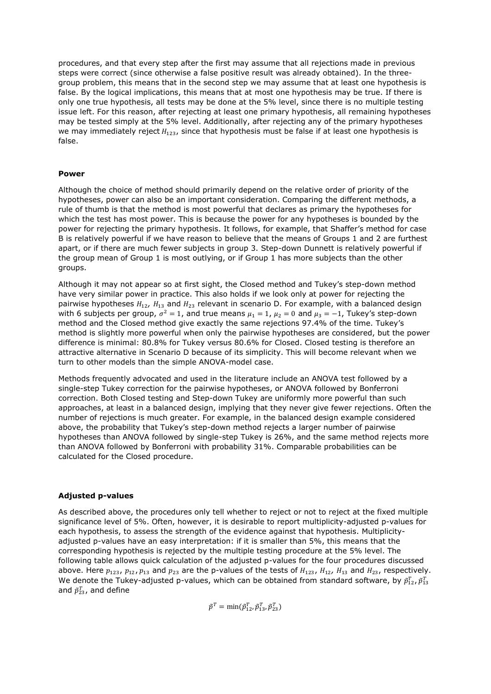procedures, and that every step after the first may assume that all rejections made in previous steps were correct (since otherwise a false positive result was already obtained). In the threegroup problem, this means that in the second step we may assume that at least one hypothesis is false. By the logical implications, this means that at most one hypothesis may be true. If there is only one true hypothesis, all tests may be done at the 5% level, since there is no multiple testing issue left. For this reason, after rejecting at least one primary hypothesis, all remaining hypotheses may be tested simply at the 5% level. Additionally, after rejecting any of the primary hypotheses we may immediately reject  $H_{123}$ , since that hypothesis must be false if at least one hypothesis is false.

### **Power**

Although the choice of method should primarily depend on the relative order of priority of the hypotheses, power can also be an important consideration. Comparing the different methods, a rule of thumb is that the method is most powerful that declares as primary the hypotheses for which the test has most power. This is because the power for any hypotheses is bounded by the power for rejecting the primary hypothesis. It follows, for example, that Shaffer's method for case B is relatively powerful if we have reason to believe that the means of Groups 1 and 2 are furthest apart, or if there are much fewer subjects in group 3. Step-down Dunnett is relatively powerful if the group mean of Group 1 is most outlying, or if Group 1 has more subjects than the other groups.

Although it may not appear so at first sight, the Closed method and Tukey's step-down method have very similar power in practice. This also holds if we look only at power for rejecting the pairwise hypotheses  $H_{12}$ ,  $H_{13}$  and  $H_{23}$  relevant in scenario D. For example, with a balanced design with 6 subjects per group,  $\sigma^2 = 1$ , and true means  $\mu_1 = 1$ ,  $\mu_2 = 0$  and  $\mu_3 = -1$ , Tukey's step-down method and the Closed method give exactly the same rejections 97.4% of the time. Tukey's method is slightly more powerful when only the pairwise hypotheses are considered, but the power difference is minimal: 80.8% for Tukey versus 80.6% for Closed. Closed testing is therefore an attractive alternative in Scenario D because of its simplicity. This will become relevant when we turn to other models than the simple ANOVA-model case.

Methods frequently advocated and used in the literature include an ANOVA test followed by a single-step Tukey correction for the pairwise hypotheses, or ANOVA followed by Bonferroni correction. Both Closed testing and Step-down Tukey are uniformly more powerful than such approaches, at least in a balanced design, implying that they never give fewer rejections. Often the number of rejections is much greater. For example, in the balanced design example considered above, the probability that Tukey's step-down method rejects a larger number of pairwise hypotheses than ANOVA followed by single-step Tukey is 26%, and the same method rejects more than ANOVA followed by Bonferroni with probability 31%. Comparable probabilities can be calculated for the Closed procedure.

# **Adjusted p-values**

As described above, the procedures only tell whether to reject or not to reject at the fixed multiple significance level of 5%. Often, however, it is desirable to report multiplicity-adjusted p-values for each hypothesis, to assess the strength of the evidence against that hypothesis. Multiplicityadjusted p-values have an easy interpretation: if it is smaller than 5%, this means that the corresponding hypothesis is rejected by the multiple testing procedure at the 5% level. The following table allows quick calculation of the adjusted p-values for the four procedures discussed above. Here  $p_{123}$ ,  $p_{12}$ ,  $p_{13}$  and  $p_{23}$  are the p-values of the tests of  $H_{123}$ ,  $H_{12}$ ,  $H_{13}$  and  $H_{23}$ , respectively. We denote the Tukey-adjusted p-values, which can be obtained from standard software, by  $\tilde{p}^T_{12}$ ,  $\tilde{p}^T_{13}$ and  $\tilde{p}_{23}^T$ , and define

 $\tilde{p}^T = \min(\tilde{p}_{12}^T, \tilde{p}_{13}^T, \tilde{p}_{23}^T)$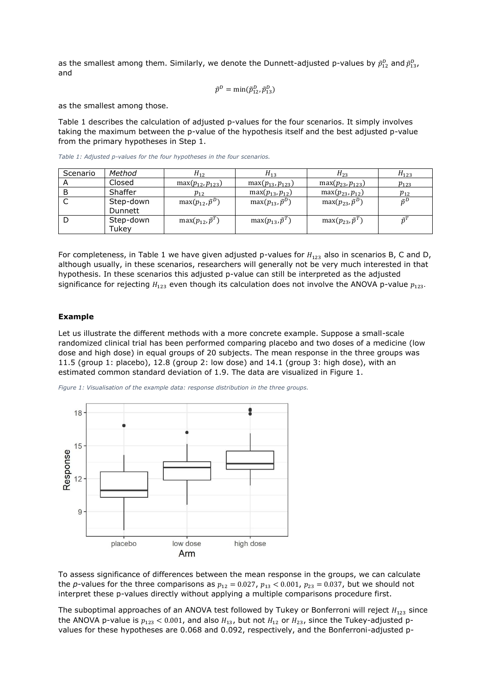as the smallest among them. Similarly, we denote the Dunnett-adjusted p-values by  $\tilde{p}_{12}^D$  and  $\tilde{p}_{13}^D$ , and

$$
\tilde{p}^D = \min(\tilde{p}_{12}^D, \tilde{p}_{13}^D)
$$

as the smallest among those.

Table 1 describes the calculation of adjusted p-values for the four scenarios. It simply involves taking the maximum between the p-value of the hypothesis itself and the best adjusted p-value from the primary hypotheses in Step 1.

| Scenario | Method             | $H_{12}$                   | $H_{13}$                   | $H_{23}$                   | $H_{123}$     |
|----------|--------------------|----------------------------|----------------------------|----------------------------|---------------|
|          | Closed             | $max(p_{12}, p_{123})$     | max $(p_{13}, p_{123})$    | $max(p_{23}, p_{123})$     | $p_{123}$     |
|          | Shaffer            | $p_{12}$                   | $max(p_{13}, p_{12})$      | $max(p_{23}, p_{12})$      | $p_{12}$      |
|          | Step-down          | $max(p_{12}, \tilde{p}^D)$ | $max(p_{13}, \tilde{p}^D)$ | $max(p_{23}, \tilde{p}^D)$ | $\tilde{n}^D$ |
|          | Dunnett            |                            |                            |                            |               |
|          | Step-down<br>Tukev | $max(p_{12}, \tilde{p}^T)$ | $max(p_{13}, \tilde{p}^T)$ | $max(p_{23}, \tilde{p}^T)$ | $\tilde{n}^T$ |

*Table 1: Adjusted p-values for the four hypotheses in the four scenarios.*

For completeness, in Table 1 we have given adjusted p-values for  $H_{123}$  also in scenarios B, C and D, although usually, in these scenarios, researchers will generally not be very much interested in that hypothesis. In these scenarios this adjusted p-value can still be interpreted as the adjusted significance for rejecting  $H_{123}$  even though its calculation does not involve the ANOVA p-value  $p_{123}$ .

#### **Example**

Let us illustrate the different methods with a more concrete example. Suppose a small-scale randomized clinical trial has been performed comparing placebo and two doses of a medicine (low dose and high dose) in equal groups of 20 subjects. The mean response in the three groups was 11.5 (group 1: placebo), 12.8 (group 2: low dose) and 14.1 (group 3: high dose), with an estimated common standard deviation of 1.9. The data are visualized in Figure 1.

*Figure 1: Visualisation of the example data: response distribution in the three groups.*



To assess significance of differences between the mean response in the groups, we can calculate the *p*-values for the three comparisons as  $p_{12} = 0.027$ ,  $p_{13} < 0.001$ ,  $p_{23} = 0.037$ , but we should not interpret these p-values directly without applying a multiple comparisons procedure first.

The suboptimal approaches of an ANOVA test followed by Tukey or Bonferroni will reject  $H_{123}$  since the ANOVA p-value is  $p_{123}$  < 0.001, and also  $H_{13}$ , but not  $H_{12}$  or  $H_{23}$ , since the Tukey-adjusted pvalues for these hypotheses are 0.068 and 0.092, respectively, and the Bonferroni-adjusted p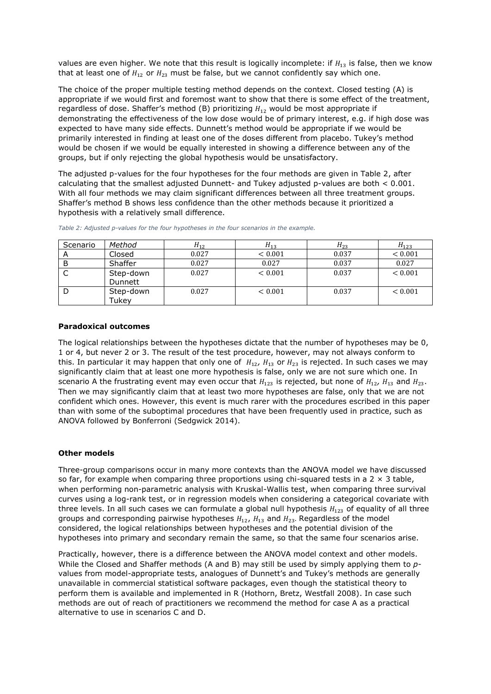values are even higher. We note that this result is logically incomplete: if  $H_{13}$  is false, then we know that at least one of  $H_{12}$  or  $H_{23}$  must be false, but we cannot confidently say which one.

The choice of the proper multiple testing method depends on the context. Closed testing (A) is appropriate if we would first and foremost want to show that there is some effect of the treatment, regardless of dose. Shaffer's method (B) prioritizing  $H_{12}$  would be most appropriate if demonstrating the effectiveness of the low dose would be of primary interest, e.g. if high dose was expected to have many side effects. Dunnett's method would be appropriate if we would be primarily interested in finding at least one of the doses different from placebo. Tukey's method would be chosen if we would be equally interested in showing a difference between any of the groups, but if only rejecting the global hypothesis would be unsatisfactory.

The adjusted p-values for the four hypotheses for the four methods are given in Table 2, after calculating that the smallest adjusted Dunnett- and Tukey adjusted p-values are both < 0.001. With all four methods we may claim significant differences between all three treatment groups. Shaffer's method B shows less confidence than the other methods because it prioritized a hypothesis with a relatively small difference.

| Scenario | Method                    | $H_{12}$ | $H_{13}$    | $H_{23}$ | $H_{123}$ |
|----------|---------------------------|----------|-------------|----------|-----------|
|          | Closed                    | 0.027    | ${}< 0.001$ | 0.037    | < 0.001   |
|          | Shaffer                   | 0.027    | 0.027       | 0.037    | 0.027     |
|          | Step-down<br>Dunnett      | 0.027    | < 0.001     | 0.037    | < 0.001   |
|          | Step-down<br><b>Tukey</b> | 0.027    | < 0.001     | 0.037    | < 0.001   |

*Table 2: Adjusted p-values for the four hypotheses in the four scenarios in the example.*

### **Paradoxical outcomes**

The logical relationships between the hypotheses dictate that the number of hypotheses may be 0, 1 or 4, but never 2 or 3. The result of the test procedure, however, may not always conform to this. In particular it may happen that only one of  $H_{12}$ ,  $H_{13}$  or  $H_{23}$  is rejected. In such cases we may significantly claim that at least one more hypothesis is false, only we are not sure which one. In scenario A the frustrating event may even occur that  $H_{123}$  is rejected, but none of  $H_{12}$ ,  $H_{13}$  and  $H_{23}$ . Then we may significantly claim that at least two more hypotheses are false, only that we are not confident which ones. However, this event is much rarer with the procedures escribed in this paper than with some of the suboptimal procedures that have been frequently used in practice, such as ANOVA followed by Bonferroni (Sedgwick 2014).

### **Other models**

Three-group comparisons occur in many more contexts than the ANOVA model we have discussed so far, for example when comparing three proportions using chi-squared tests in a  $2 \times 3$  table, when performing non-parametric analysis with Kruskal-Wallis test, when comparing three survival curves using a log-rank test, or in regression models when considering a categorical covariate with three levels. In all such cases we can formulate a global null hypothesis  $H_{123}$  of equality of all three groups and corresponding pairwise hypotheses  $H_{12}$ ,  $H_{13}$  and  $H_{23}$ . Regardless of the model considered, the logical relationships between hypotheses and the potential division of the hypotheses into primary and secondary remain the same, so that the same four scenarios arise.

Practically, however, there is a difference between the ANOVA model context and other models. While the Closed and Shaffer methods (A and B) may still be used by simply applying them to *p*values from model-appropriate tests, analogues of Dunnett's and Tukey's methods are generally unavailable in commercial statistical software packages, even though the statistical theory to perform them is available and implemented in R (Hothorn, Bretz, Westfall 2008). In case such methods are out of reach of practitioners we recommend the method for case A as a practical alternative to use in scenarios C and D.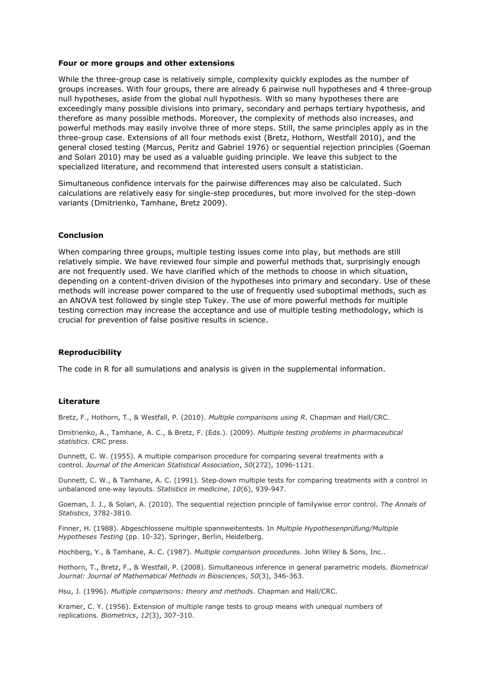#### **Four or more groups and other extensions**

While the three-group case is relatively simple, complexity quickly explodes as the number of groups increases. With four groups, there are already 6 pairwise null hypotheses and 4 three-group null hypotheses, aside from the global null hypothesis. With so many hypotheses there are exceedingly many possible divisions into primary, secondary and perhaps tertiary hypothesis, and therefore as many possible methods. Moreover, the complexity of methods also increases, and powerful methods may easily involve three of more steps. Still, the same principles apply as in the three-group case. Extensions of all four methods exist (Bretz, Hothorn, Westfall 2010), and the general closed testing (Marcus, Peritz and Gabriel 1976) or sequential rejection principles (Goeman and Solari 2010) may be used as a valuable guiding principle. We leave this subject to the specialized literature, and recommend that interested users consult a statistician.

Simultaneous confidence intervals for the pairwise differences may also be calculated. Such calculations are relatively easy for single-step procedures, but more involved for the step-down variants (Dmitrienko, Tamhane, Bretz 2009).

#### **Conclusion**

When comparing three groups, multiple testing issues come into play, but methods are still relatively simple. We have reviewed four simple and powerful methods that, surprisingly enough are not frequently used. We have clarified which of the methods to choose in which situation, depending on a content-driven division of the hypotheses into primary and secondary. Use of these methods will increase power compared to the use of frequently used suboptimal methods, such as an ANOVA test followed by single step Tukey. The use of more powerful methods for multiple testing correction may increase the acceptance and use of multiple testing methodology, which is crucial for prevention of false positive results in science.

#### **Reproducibility**

The code in R for all sumulations and analysis is given in the supplemental information.

#### **Literature**

Bretz, F., Hothorn, T., & Westfall, P. (2010). *Multiple comparisons using R*. Chapman and Hall/CRC.

Dmitrienko, A., Tamhane, A. C., & Bretz, F. (Eds.). (2009). *Multiple testing problems in pharmaceutical statistics*. CRC press.

Dunnett, C. W. (1955). A multiple comparison procedure for comparing several treatments with a control. *Journal of the American Statistical Association*, *50*(272), 1096-1121.

Dunnett, C. W., & Tamhane, A. C. (1991). Step‐down multiple tests for comparing treatments with a control in unbalanced one‐way layouts. *Statistics in medicine*, *10*(6), 939-947.

Goeman, J. J., & Solari, A. (2010). The sequential rejection principle of familywise error control. *The Annals of Statistics*, 3782-3810.

Finner, H. (1988). Abgeschlossene multiple spannweitentests. In *Multiple Hypothesenprüfung/Multiple Hypotheses Testing* (pp. 10-32). Springer, Berlin, Heidelberg.

Hochberg, Y., & Tamhane, A. C. (1987). *Multiple comparison procedures*. John Wiley & Sons, Inc..

Hothorn, T., Bretz, F., & Westfall, P. (2008). Simultaneous inference in general parametric models. *Biometrical Journal: Journal of Mathematical Methods in Biosciences*, *50*(3), 346-363.

Hsu, J. (1996). *Multiple comparisons: theory and methods*. Chapman and Hall/CRC.

Kramer, C. Y. (1956). Extension of multiple range tests to group means with unequal numbers of replications. *Biometrics*, *12*(3), 307-310.